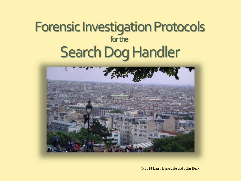### Forensic Investigation Protocols for the Search Dog Handler



© 2014 Larry Barksdale and John Beck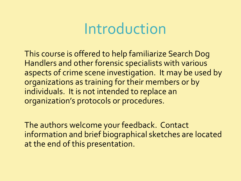## Introduction

This course is offered to help familiarize Search Dog Handlers and other forensic specialists with various aspects of crime scene investigation. It may be used by organizations as training for their members or by individuals. It is not intended to replace an organization's protocols or procedures.

The authors welcome your feedback. Contact information and brief biographical sketches are located at the end of this presentation.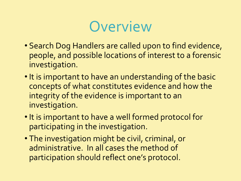

- Search Dog Handlers are called upon to find evidence, people, and possible locations of interest to a forensic investigation.
- It is important to have an understanding of the basic concepts of what constitutes evidence and how the integrity of the evidence is important to an investigation.
- •It is important to have a well formed protocol for participating in the investigation.
- The investigation might be civil, criminal, or administrative. In all cases the method of participation should reflect one's protocol.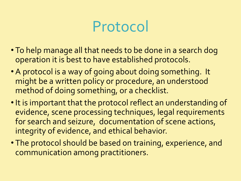## Protocol

- To help manage all that needs to be done in a search dog operation it is best to have established protocols.
- A protocol is a way of going about doing something. It might be a written policy or procedure, an understood method of doing something, or a checklist.
- It is important that the protocol reflect an understanding of evidence, scene processing techniques, legal requirements for search and seizure, documentation of scene actions, integrity of evidence, and ethical behavior.
- The protocol should be based on training, experience, and communication among practitioners.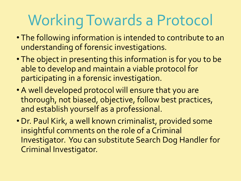# Working Towards a Protocol

- The following information is intended to contribute to an understanding of forensic investigations.
- The object in presenting this information is for you to be able to develop and maintain a viable protocol for participating in a forensic investigation.
- A well developed protocol will ensure that you are thorough, not biased, objective, follow best practices, and establish yourself as a professional.
- Dr. Paul Kirk, a well known criminalist, provided some insightful comments on the role of a Criminal Investigator. You can substitute Search Dog Handler for Criminal Investigator.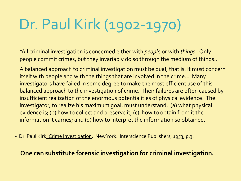# Dr. Paul Kirk (1902-1970)

"All criminal investigation is concerned either with *people* or with *things*. Only people commit crimes, but they invariably do so through the medium of things…

A balanced approach to criminal investigation must be dual, that is, it must concern itself with people and with the things that are involved in the crime… Many investigators have failed in some degree to make the most efficient use of this balanced approach to the investigation of crime. Their failures are often caused by insufficient realization of the enormous potentialities of physical evidence. The investigator, to realize his maximum goal, must understand: (a) what physical evidence is; (b) how to collect and preserve it; (c) how to obtain from it the information it carries; and (d) how to interpret the information so obtained."

- Dr. Paul Kirk, Crime Investigation. New York: Interscience Publishers, 1953, p.3.

### **One can substitute forensic investigation for criminal investigation.**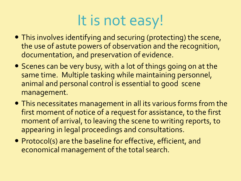# It is not easy!

- This involves identifying and securing (protecting) the scene, the use of astute powers of observation and the recognition, documentation, and preservation of evidence.
- Scenes can be very busy, with a lot of things going on at the same time. Multiple tasking while maintaining personnel, animal and personal control is essential to good scene management.
- This necessitates management in all its various forms from the first moment of notice of a request for assistance, to the first moment of arrival, to leaving the scene to writing reports, to appearing in legal proceedings and consultations.
- Protocol(s) are the baseline for effective, efficient, and economical management of the total search.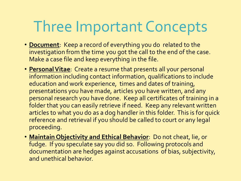# Three Important Concepts

- **Document**: Keep a record of everything you do related to the investigation from the time you got the call to the end of the case. Make a case file and keep everything in the file.
- **Personal Vitae**: Create a resume that presents all your personal information including contact information, qualifications to include education and work experience, times and dates of training, presentations you have made, articles you have written, and any personal research you have done. Keep all certificates of training in a folder that you can easily retrieve if need. Keep any relevant written articles to what you do as a dog handler in this folder. This is for quick reference and retrieval if you should be called to court or any legal proceeding.
- **Maintain Objectivity and Ethical Behavior**: Do not cheat, lie, or fudge. If you speculate say you did so. Following protocols and documentation are hedges against accusations of bias, subjectivity, and unethical behavior.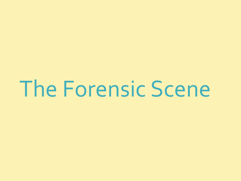The Forensic Scene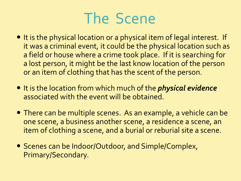# The Scene

- It is the physical location or a physical item of legal interest. If it was a criminal event, it could be the physical location such as a field or house where a crime took place. If it is searching for a lost person, it might be the last know location of the person or an item of clothing that has the scent of the person.
- It is the location from which much of the *physical evidence* associated with the event will be obtained.
- There can be multiple scenes. As an example, a vehicle can be one scene, a business another scene, a residence a scene, an item of clothing a scene, and a burial or reburial site a scene.
- Scenes can be Indoor/Outdoor, and Simple/Complex, Primary/Secondary.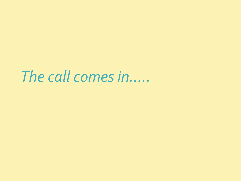*The call comes in…..*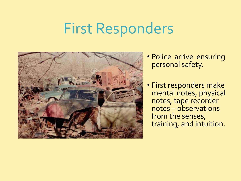## First Responders



- Police arrive ensuring personal safety.
- First responders make mental notes, physical notes, tape recorder notes – observations from the senses, training, and intuition.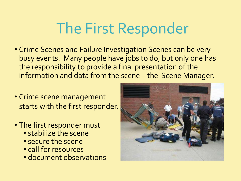# The First Responder

- Crime Scenes and Failure Investigation Scenes can be very busy events. Many people have jobs to do, but only one has the responsibility to provide a final presentation of the information and data from the scene – the Scene Manager.
- Crime scene management starts with the first responder.
- The first responder must
	- stabilize the scene
	- secure the scene
	- call for resources
	- document observations

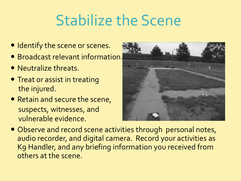# Stabilize the Scene

- Identify the scene or scenes.
- Broadcast relevant information.
- Neutralize threats.
- Treat or assist in treating the injured.
- Retain and secure the scene, suspects, witnesses, and vulnerable evidence.



 Observe and record scene activities through personal notes, audio recorder, and digital camera. Record your activities as K9 Handler, and any briefing information you received from others at the scene.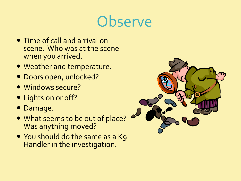## **Observe**

- Time of call and arrival on scene. Who was at the scene when you arrived.
- Weather and temperature.
- Doors open, unlocked?
- Windows secure?
- Lights on or off?
- Damage.
- What seems to be out of place? Was anything moved?
- You should do the same as a Kg Handler in the investigation.

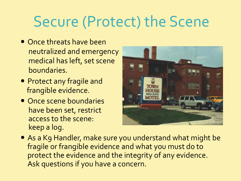# Secure (Protect) the Scene

- Once threats have been neutralized and emergency medical has left, set scene boundaries.
- Protect any fragile and frangible evidence.
- Once scene boundaries have been set, restrict access to the scene: keep a log.



 As a K9 Handler, make sure you understand what might be fragile or frangible evidence and what you must do to protect the evidence and the integrity of any evidence. Ask questions if you have a concern.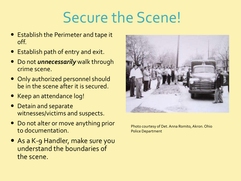# Secure the Scene!

- Establish the Perimeter and tape it off.
- Establish path of entry and exit.
- Do not *unnecessarily* walk through crime scene.
- Only authorized personnel should be in the scene after it is secured.
- Keep an attendance log!
- Detain and separate witnesses/victims and suspects.
- Do not alter or move anything prior to documentation.
- As a K-9 Handler, make sure you understand the boundaries of the scene.



Photo courtesy of Det. Anna Romito, Akron. Ohio Police Department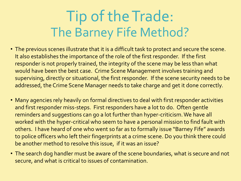# Tip of the Trade: The Barney Fife Method?

- The previous scenes illustrate that it is a difficult task to protect and secure the scene. It also establishes the importance of the role of the first responder. If the first responder is not properly trained, the integrity of the scene may be less than what would have been the best case. Crime Scene Management involves training and supervising, directly or situational, the first responder. If the scene security needs to be addressed, the Crime Scene Manager needs to take charge and get it done correctly.
- Many agencies rely heavily on formal directives to deal with first responder activities and first responder miss-steps. First responders have a lot to do. Often gentle reminders and suggestions can go a lot further than hyper-criticism. We have all worked with the hyper-critical who seem to have a personal mission to find fault with others. I have heard of one who went so far as to formally issue "Barney Fife" awards to police officers who left their fingerprints at a crime scene. Do you think there could be another method to resolve this issue, if it was an issue?
- The search dog handler must be aware of the scene boundaries, what is secure and not secure, and what is critical to issues of contamination.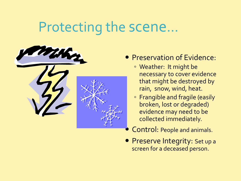### Protecting the scene…



- **Preservation of Evidence:** 
	- Weather: It might be necessary to cover evidence that might be destroyed by rain, snow, wind, heat.
	- Frangible and fragile (easily broken, lost or degraded) evidence may need to be collected immediately.
- Control: People and animals.
- Preserve Integrity: Set up a screen for a deceased person.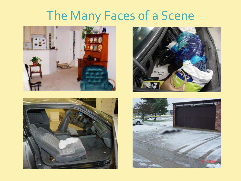## The Many Faces of a Scene







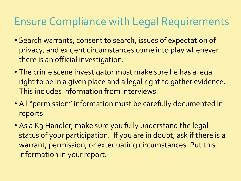### Ensure Compliance with Legal Requirements

- Search warrants, consent to search, issues of expectation of privacy, and exigent circumstances come into play whenever there is an official investigation.
- The crime scene investigator must make sure he has a legal right to be in a given place and a legal right to gather evidence. This includes information from interviews.
- All "permission" information must be carefully documented in reports.
- As a K9 Handler, make sure you fully understand the legal status of your participation. If you are in doubt, ask if there is a warrant, permission, or extenuating circumstances. Put this information in your report.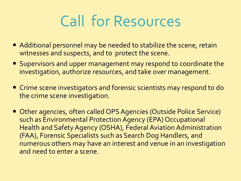# Call for Resources

- Additional personnel may be needed to stabilize the scene, retain witnesses and suspects, and to protect the scene.
- Supervisors and upper management may respond to coordinate the investigation, authorize resources, and take over management.
- Crime scene investigators and forensic scientists may respond to do the crime scene investigation.
- Other agencies, often called OPS Agencies (Outside Police Service) such as Environmental Protection Agency (EPA) Occupational Health and Safety Agency (OSHA), Federal Aviation Administration (FAA), Forensic Specialists such as Search Dog Handlers, and numerous others may have an interest and venue in an investigation and need to enter a scene.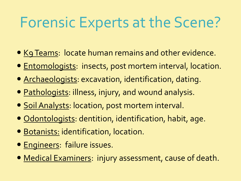# Forensic Experts at the Scene?

- **Kg Teams: locate human remains and other evidence.**
- Entomologists: insects, post mortem interval, location.
- Archaeologists: excavation, identification, dating.
- Pathologists: illness, injury, and wound analysis.
- **Soil Analysts: location, post mortem interval.**
- Odontologists: dentition, identification, habit, age.
- Botanists: identification, location.
- **Engineers: failure issues.**
- Medical Examiners: injury assessment, cause of death.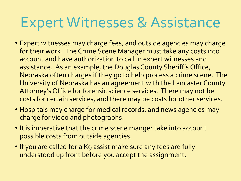## Expert Witnesses & Assistance

- Expert witnesses may charge fees, and outside agencies may charge for their work. The Crime Scene Manager must take any costs into account and have authorization to call in expert witnesses and assistance. As an example, the Douglas County Sheriff's Office, Nebraska often charges if they go to help process a crime scene. The University of Nebraska has an agreement with the Lancaster County Attorney's Office for forensic science services. There may not be costs for certain services, and there may be costs for other services.
- Hospitals may charge for medical records, and news agencies may charge for video and photographs.
- It is imperative that the crime scene manger take into account possible costs from outside agencies.
- If you are called for a K9 assist make sure any fees are fully understood up front before you accept the assignment.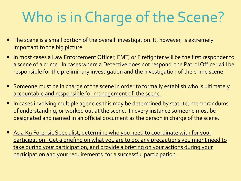# Who is in Charge of the Scene?

- The scene is a small portion of the overall investigation. It, however, is extremely important to the big picture.
- In most cases a Law Enforcement Officer, EMT, or Firefighter will be the first responder to a scene of a crime. In cases where a Detective does not respond, the Patrol Officer will be responsible for the preliminary investigation and the investigation of the crime scene.
- **Someone must be in charge of the scene in order to formally establish who is ultimately** accountable and responsible for management of the scene.
- In cases involving multiple agencies this may be determined by statute, memorandums of understanding, or worked out at the scene. In every instance someone must be designated and named in an official document as the person in charge of the scene.
- As a K9 Forensic Specialist, determine who you need to coordinate with for your participation. Get a briefing on what you are to do, any precautions you might need to take during your participation, and provide a briefing on your actions during your participation and your requirements for a successful participation.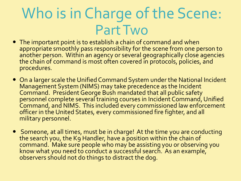# Who is in Charge of the Scene: Part Two

- The important point is to establish a chain of command and when appropriate smoothly pass responsibility for the scene from one person to another person. Within an agency or several geographically close agencies the chain of command is most often covered in protocols, policies, and procedures.
- On a larger scale the Unified Command System under the National Incident Management System (NIMS) may take precedence as the Incident Command. President George Bush mandated that all public safety personnel complete several training courses in Incident Command, Unified Command, and NIMS. This included every commissioned law enforcement officer in the United States, every commissioned fire fighter, and all military personnel.
- Someone, at all times, must be in charge! At the time you are conducting the search you, the K9 Handler, have a position within the chain of command. Make sure people who may be assisting you or observing you know what you need to conduct a successful search. As an example, observers should not do things to distract the dog.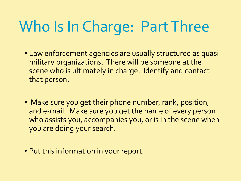# Who Is In Charge: Part Three

- Law enforcement agencies are usually structured as quasimilitary organizations. There will be someone at the scene who is ultimately in charge. Identify and contact that person.
- Make sure you get their phone number, rank, position, and e-mail. Make sure you get the name of every person who assists you, accompanies you, or is in the scene when you are doing your search.
- Put this information in your report.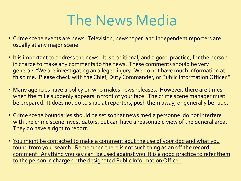# The News Media

- Crime scene events are news. Television, newspaper, and independent reporters are usually at any major scene.
- It is important to address the news. It is traditional, and a good practice, for the person in charge to make any comments to the news. These comments should be very general: "We are investigating an alleged injury. We do not have much information at this time. Please check with the Chief, Duty Commander, or Public Information Officer."
- Many agencies have a policy on who makes news releases. However, there are times when the mike suddenly appears in front of your face. The crime scene manager must be prepared. It does not do to snap at reporters, push them away, or generally be rude.
- Crime scene boundaries should be set so that news media personnel do not interfere with the crime scene investigators, but can have a reasonable view of the general area. They do have a right to report.
- You might be contacted to make a comment abut the use of your dog and what you found from your search. Remember, there is not such thing as an off the record comment. Anything you say can be used against you. It is a good practice to refer them to the person in charge or the designated Public Information Officer.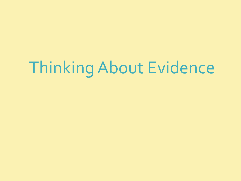# Thinking About Evidence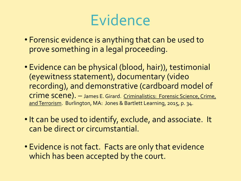## Evidence

- Forensic evidence is anything that can be used to prove something in a legal proceeding.
- Evidence can be physical (blood, hair)), testimonial (eyewitness statement), documentary (video recording), and demonstrative (cardboard model of crime scene). – James E. Girard. Criminalistics: Forensic Science, Crime, and Terrorism. Burlington, MA: Jones & Bartlett Learning, 2015, p. 34.
- It can be used to identify, exclude, and associate. It can be direct or circumstantial.
- Evidence is not fact. Facts are only that evidence which has been accepted by the court.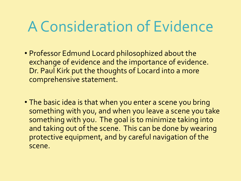# A Consideration of Evidence

- Professor Edmund Locard philosophized about the exchange of evidence and the importance of evidence. Dr. Paul Kirk put the thoughts of Locard into a more comprehensive statement.
- The basic idea is that when you enter a scene you bring something with you, and when you leave a scene you take something with you. The goal is to minimize taking into and taking out of the scene. This can be done by wearing protective equipment, and by careful navigation of the scene.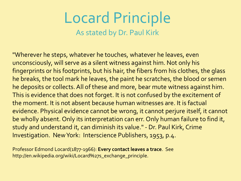### Locard Principle As stated by Dr. Paul Kirk

"Wherever he steps, whatever he touches, whatever he leaves, even unconsciously, will serve as a silent witness against him. Not only his fingerprints or his footprints, but his hair, the fibers from his clothes, the glass he breaks, the tool mark he leaves, the paint he scratches, the blood or semen he deposits or collects. All of these and more, bear mute witness against him. This is evidence that does not forget. It is not confused by the excitement of the moment. It is not absent because human witnesses are. It is factual evidence. Physical evidence cannot be wrong, it cannot perjure itself, it cannot be wholly absent. Only its interpretation can err. Only human failure to find it, study and understand it, can diminish its value." - Dr. Paul Kirk, Crime Investigation. New York: Interscience Publishers, 1953, p.4.

Professor Edmond Locard(1877-1966): **Every contact leaves a trace**. See http://en.wikipedia.org/wiki/Locard%27s\_exchange\_principle.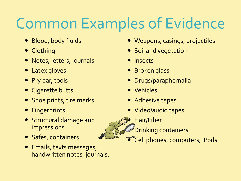# Common Examples of Evidence

- Blood, body fluids
- Clothing
- Notes, letters, journals
- Latex gloves
- Pry bar, tools
- Cigarette butts
- Shoe prints, tire marks
- **•** Fingerprints
- Structural damage and impressions
- Safes, containers
- Emails, texts messages, handwritten notes, journals.
- Weapons, casings, projectiles
- Soil and vegetation
- Insects
- **•** Broken glass
- Drugs/paraphernalia
- Vehicles
- Adhesive tapes
- Video/audio tapes
- Hair/Fiber
	- Drinking containers
	- **\*Cell** phones, computers, iPods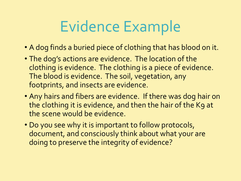# Evidence Example

- A dog finds a buried piece of clothing that has blood on it.
- The dog's actions are evidence. The location of the clothing is evidence. The clothing is a piece of evidence. The blood is evidence. The soil, vegetation, any footprints, and insects are evidence.
- Any hairs and fibers are evidence. If there was dog hair on the clothing it is evidence, and then the hair of the K9 at the scene would be evidence.
- Do you see why it is important to follow protocols, document, and consciously think about what your are doing to preserve the integrity of evidence?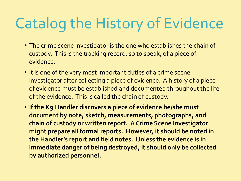# Catalog the History of Evidence

- The crime scene investigator is the one who establishes the chain of custody. This is the tracking record, so to speak, of a piece of evidence.
- It is one of the very most important duties of a crime scene investigator after collecting a piece of evidence. A history of a piece of evidence must be established and documented throughout the life of the evidence. This is called the chain of custody.
- **If the K9 Handler discovers a piece of evidence he/she must document by note, sketch, measurements, photographs, and chain of custody or written report. A Crime Scene Investigator might prepare all formal reports. However, it should be noted in the Handler's report and field notes. Unless the evidence is in immediate danger of being destroyed, it should only be collected by authorized personnel.**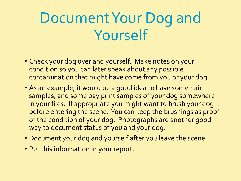# Document Your Dog and Yourself

- Check your dog over and yourself. Make notes on your condition so you can later speak about any possible contamination that might have come from you or your dog.
- As an example, it would be a good idea to have some hair samples, and some pay print samples of your dog somewhere in your files. If appropriate you might want to brush your dog before entering the scene. You can keep the brushings as proof of the condition of your dog. Photographs are another good way to document status of you and your dog.
- Document your dog and yourself after you leave the scene.
- Put this information in your report.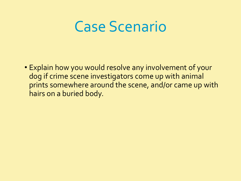### Case Scenario

• Explain how you would resolve any involvement of your dog if crime scene investigators come up with animal prints somewhere around the scene, and/or came up with hairs on a buried body.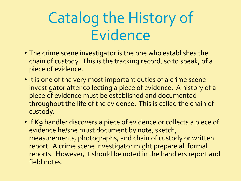# Catalog the History of Evidence

- The crime scene investigator is the one who establishes the chain of custody. This is the tracking record, so to speak, of a piece of evidence.
- It is one of the very most important duties of a crime scene investigator after collecting a piece of evidence. A history of a piece of evidence must be established and documented throughout the life of the evidence. This is called the chain of custody.
- If K9 handler discovers a piece of evidence or collects a piece of evidence he/she must document by note, sketch, measurements, photographs, and chain of custody or written report. A crime scene investigator might prepare all formal reports. However, it should be noted in the handlers report and field notes.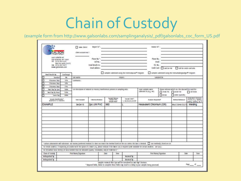# Chain of Custody

### (example form from http://www.galsonlabs.com/samplinganalysis/\_pdf/galsonlabs\_coc\_form\_US.pdf

|                                                                                                                                                       |                         |                          | New clean<br>(Sent Account No.")                                                                                                                                                                                                                                                                                                                                |                                                                                                            |                            |                                  |                                                                                                                                                                                                                                                                                                                                                  |                           |                               |                           |                                                                   |             |
|-------------------------------------------------------------------------------------------------------------------------------------------------------|-------------------------|--------------------------|-----------------------------------------------------------------------------------------------------------------------------------------------------------------------------------------------------------------------------------------------------------------------------------------------------------------------------------------------------------------|------------------------------------------------------------------------------------------------------------|----------------------------|----------------------------------|--------------------------------------------------------------------------------------------------------------------------------------------------------------------------------------------------------------------------------------------------------------------------------------------------------------------------------------------------|---------------------------|-------------------------------|---------------------------|-------------------------------------------------------------------|-------------|
| GALSON<br>osen sidelike ed.<br>UKI DITAGINE WE START<br><b>III</b> CITED 432-3227<br>1005-R32-3A95-(1227)<br>FB: (315) 407-0571<br>www.gabzeslabs.com |                         |                          |                                                                                                                                                                                                                                                                                                                                                                 | Please No."<br>Imal address :                                                                              |                            |                                  | the contract of the contract of the contract of<br>timal Results to : https://www.com/community.com/community/community/community/community/community/community/community/community/community/community/community/community/community/community/community/community/community/com<br>the control of the control of the control of the control of |                           | Phone No.<br>tnul.<br>FO, No. | Condit Cord : Constan nie | the contract of the contract of the con-<br>at to cett card into  |             |
|                                                                                                                                                       | Need Jacobs Ser-        | (sanharpa)               |                                                                                                                                                                                                                                                                                                                                                                 |                                                                                                            |                            |                                  | samples submirred assig the everyorga and in respons-                                                                                                                                                                                                                                                                                            |                           |                               |                           | " samples submitted using the mensurgal equation." Integrate      |             |
| □                                                                                                                                                     | <b>Standard</b>         | $\overline{\phantom{a}}$ | SBI NEW                                                                                                                                                                                                                                                                                                                                                         |                                                                                                            |                            |                                  | <b>FISHET:</b>                                                                                                                                                                                                                                                                                                                                   | sampled by                |                               |                           |                                                                   |             |
| ▭                                                                                                                                                     | 4 Susteens Sept         | 33%                      | comments:                                                                                                                                                                                                                                                                                                                                                       |                                                                                                            |                            |                                  |                                                                                                                                                                                                                                                                                                                                                  |                           |                               |                           |                                                                   |             |
| п                                                                                                                                                     | 3 Business Sept.        | 104                      |                                                                                                                                                                                                                                                                                                                                                                 |                                                                                                            |                            |                                  |                                                                                                                                                                                                                                                                                                                                                  |                           |                               |                           |                                                                   |             |
| □                                                                                                                                                     | J Business Days         | 75A                      |                                                                                                                                                                                                                                                                                                                                                                 |                                                                                                            |                            |                                  |                                                                                                                                                                                                                                                                                                                                                  |                           |                               |                           |                                                                   |             |
| □                                                                                                                                                     | Next Day by Kern        | 1054                     | case diescription of industry or morest/interferences present in sampling area :<br>some sarrigies were<br>riege information on the dealers if he used for                                                                                                                                                                                                      |                                                                                                            |                            |                                  |                                                                                                                                                                                                                                                                                                                                                  |                           |                               |                           |                                                                   |             |
| □                                                                                                                                                     | <b>Building by News</b> | 150%                     | collected in (e.g., NY)<br>$2$ cow rs. $2$ scan m/<br>$\Box$ call os we                                                                                                                                                                                                                                                                                         |                                                                                                            |                            |                                  |                                                                                                                                                                                                                                                                                                                                                  |                           |                               |                           |                                                                   |             |
| ⊓                                                                                                                                                     | <b>Same Day</b>         | 3004.                    |                                                                                                                                                                                                                                                                                                                                                                 |                                                                                                            | $D$ wsw.<br>atlet bassitra |                                  |                                                                                                                                                                                                                                                                                                                                                  |                           |                               |                           |                                                                   |             |
| Seregie blentification"<br>le aprison of an characterial                                                                                              |                         | <b>Debt Serraded</b>     | <b>Editor Reduct</b>                                                                                                                                                                                                                                                                                                                                            | Sungai Watane<br><b>Latisla Titte</b><br><b>Sensite Area</b> *                                             |                            | Sende Units'<br>Linkmackd.mc2.02 | Audyck Reparted*                                                                                                                                                                                                                                                                                                                                 |                           |                               | <b>Matthed Sidewale*</b>  | linse and Operator<br>Francisco, Willie<br>plates swirling att.2" |             |
| <b>EXAMPLE</b>                                                                                                                                        |                         |                          | 04/34/13                                                                                                                                                                                                                                                                                                                                                        | 2pc UW PVC                                                                                                 | 960                        |                                  |                                                                                                                                                                                                                                                                                                                                                  | Hexavalent Chromium (Cr6) |                               |                           | Mod OSHA (D-21)                                                   | Welding     |
|                                                                                                                                                       |                         |                          | * suiture unforcementes will substance our musice (symbored method if is does not march the method letted on the cox unless this box is checked. [3] your method/c5 listed on cox<br>rer meals analysis. If requesting an analyse with the option of a lower use; please indicate if the lower use; is required (law weakdow for certain analyses - see switch- |                                                                                                            |                            |                                  |                                                                                                                                                                                                                                                                                                                                                  |                           |                               |                           |                                                                   |             |
|                                                                                                                                                       |                         |                          | ror ctrauding siles: turners of siles terrind must be indicated county, crassibility and/ur redernately -                                                                                                                                                                                                                                                       |                                                                                                            |                            |                                  |                                                                                                                                                                                                                                                                                                                                                  |                           |                               |                           |                                                                   |             |
|                                                                                                                                                       | Clusin of Castroly      |                          | Print Name /Sepuriture                                                                                                                                                                                                                                                                                                                                          |                                                                                                            | Date<br><b>Time</b>        |                                  |                                                                                                                                                                                                                                                                                                                                                  |                           | Print Name/Signature          |                           | Date                                                              | <b>Grae</b> |
|                                                                                                                                                       | kelogshird by :         |                          |                                                                                                                                                                                                                                                                                                                                                                 |                                                                                                            |                            |                                  | <b>Received</b> by                                                                                                                                                                                                                                                                                                                               |                           |                               |                           |                                                                   |             |
|                                                                                                                                                       | <b>Reingstand by</b>    |                          |                                                                                                                                                                                                                                                                                                                                                                 |                                                                                                            |                            |                                  | Received by                                                                                                                                                                                                                                                                                                                                      |                           |                               |                           |                                                                   |             |
|                                                                                                                                                       |                         |                          |                                                                                                                                                                                                                                                                                                                                                                 | * Required fields, failure to complete these fields may result in a delay in your samples being processed. |                            |                                  | Samples received after Special for considered as out day's business.                                                                                                                                                                                                                                                                             |                           |                               |                           |                                                                   | not at      |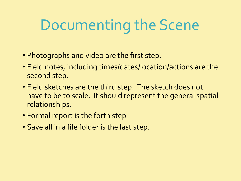# Documenting the Scene

- Photographs and video are the first step.
- Field notes, including times/dates/location/actions are the second step.
- Field sketches are the third step. The sketch does not have to be to scale. It should represent the general spatial relationships.
- Formal report is the forth step
- Save all in a file folder is the last step.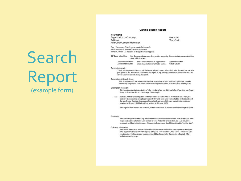## Search Report (example form)

### **Canine Search Report**

Your Name Organization or Company Address And Other Contact Information

Date of call: Time of call:

Dog: The name of the dog that worked the search Search Location: General Location Information Time of Arrival: At the scene or designated meeting place

GPS and other files: List the names of any maps, logs or other supporting documents that you are submitting along with the report.

Approximate Temp: These should be noted as "approximate" Approximate RH: Approximate Wind: unless they are from a verifiable source. Cloud Cover:

Description of call:

This is a description of what was said during the original contact; who called, what they told you and what you agreed to do. You should also include a synopsis of any briefing you received at the scene and a list of who you worked with during the search.

### Description of Search Areas:

This includes specific locations and sizes of the areas you searched. It should explain how you subdivided any large areas. You should characterize vegetation, terrain, size and type of buildings, etc.

### Description of search:

This includes a detailed description of what you did, when you did it and what, if anything was found. It may be best to do this as a chronology. For example:

1132 Started K9 Fluffy searching at the southwest corner of Search Area 3. Worked an east / west grid pattern with search lines spaced approximately 10 yards apart until we reached the north boundary of the search area. Detailed the exterior of two abandoned cars which were located in the northwest quadrant of the area. K9 Fluffy did not indicate in this area. 1158

This explains how the area was searched, that the search took 26 minutes and that nothing was found.

### Summary.

This is where you would note any other information you would like to include such as areas you think might need additional attention, an estimate of your Probability of Detection, etc. Any subjective comments could go in this this area. Other parts of your report should be restricted to "just the facts".

### Followup Information:

This area is for notes on relevant information that became available after your report was submitted. That might include a call from the agency letting you know what the Crime Scene Team found after you departed. Nothing else on your report should be changed after the report is submitted. This includes correcting types.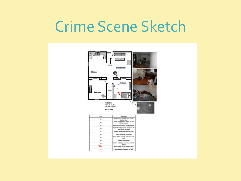## Crime Scene Sketch



| <b>Starts</b> | <b>Deputation</b><br>timbs shuth to a plastic said an the<br><b><i>Sishan Ruse</i></b> |  |  |  |  |
|---------------|----------------------------------------------------------------------------------------|--|--|--|--|
| w             |                                                                                        |  |  |  |  |
| w             | Broughy and Full Aquair bathlas on the<br><b><i>ERONAL GREATERS</i></b>                |  |  |  |  |
|               | Enacked over chair to the bong more                                                    |  |  |  |  |
|               | Pop bottle and purchase recept on the<br>Room by the entryway.                         |  |  |  |  |
|               | Phatical of the victim and the kids.                                                   |  |  |  |  |
| ٠             | <b>TRANSING THANKS AND STOLEN BANKS</b>                                                |  |  |  |  |
| ur.           | Plenes of her barrette and white seath                                                 |  |  |  |  |
| w.            | Plastic of foar barrellist                                                             |  |  |  |  |
| w             | San total youngarizes gettings prefer.)<br><b>SEVENA</b>                               |  |  |  |  |
|               | Mosed apather (at the bestmann Room                                                    |  |  |  |  |
|               | Stood spatiar on silps of the bad                                                      |  |  |  |  |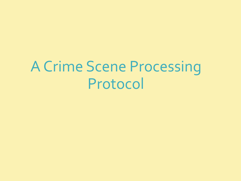# A Crime Scene Processing Protocol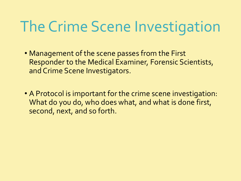# The Crime Scene Investigation

- Management of the scene passes from the First Responder to the Medical Examiner, Forensic Scientists, and Crime Scene Investigators.
- A Protocol is important for the crime scene investigation: What do you do, who does what, and what is done first, second, next, and so forth.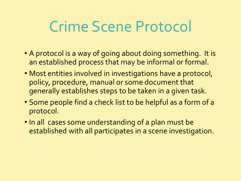# Crime Scene Protocol

- A protocol is a way of going about doing something. It is an established process that may be informal or formal.
- Most entities involved in investigations have a protocol, policy, procedure, manual or some document that generally establishes steps to be taken in a given task.
- Some people find a check list to be helpful as a form of a protocol.
- In all cases some understanding of a plan must be established with all participates in a scene investigation.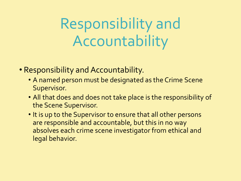Responsibility and Accountability

- Responsibility and Accountability.
	- A named person must be designated as the Crime Scene Supervisor.
	- All that does and does not take place is the responsibility of the Scene Supervisor.
	- It is up to the Supervisor to ensure that all other persons are responsible and accountable, but this in no way absolves each crime scene investigator from ethical and legal behavior.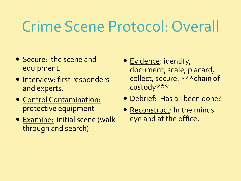# Crime Scene Protocol: Overall

- Secure: the scene and equipment.
- Interview: first responders and experts.
- Control Contamination: protective equipment
- Examine: initial scene (walk through and search)
- Evidence: identify, document, scale, placard, collect, secure. \*\*\*chain of custody\*\*\*
- Debrief: Has all been done?
- Reconstruct: In the minds eye and at the office.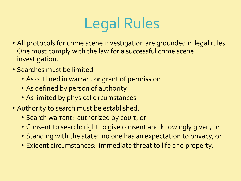# Legal Rules

- All protocols for crime scene investigation are grounded in legal rules. One must comply with the law for a successful crime scene investigation.
- Searches must be limited
	- As outlined in warrant or grant of permission
	- As defined by person of authority
	- As limited by physical circumstances
- Authority to search must be established.
	- Search warrant: authorized by court, or
	- Consent to search: right to give consent and knowingly given, or
	- Standing with the state: no one has an expectation to privacy, or
	- Exigent circumstances: immediate threat to life and property.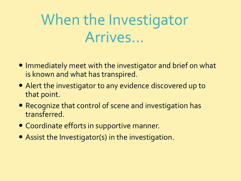# When the Investigator Arrives...

- Immediately meet with the investigator and brief on what is known and what has transpired.
- Alert the investigator to any evidence discovered up to that point.
- Recognize that control of scene and investigation has transferred.
- Coordinate efforts in supportive manner.
- Assist the Investigator(s) in the investigation.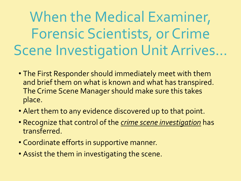When the Medical Examiner, Forensic Scientists, or Crime Scene Investigation Unit Arrives...

- The First Responder should immediately meet with them and brief them on what is known and what has transpired. The Crime Scene Manager should make sure this takes place.
- Alert them to any evidence discovered up to that point.
- Recognize that control of the *crime scene investigation* has transferred.
- Coordinate efforts in supportive manner.
- Assist the them in investigating the scene.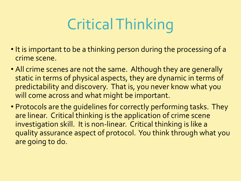# Critical Thinking

- It is important to be a thinking person during the processing of a crime scene.
- All crime scenes are not the same. Although they are generally static in terms of physical aspects, they are dynamic in terms of predictability and discovery. That is, you never know what you will come across and what might be important.
- Protocols are the guidelines for correctly performing tasks. They are linear. Critical thinking is the application of crime scene investigation skill. It is non-linear. Critical thinking is like a quality assurance aspect of protocol. You think through what you are going to do.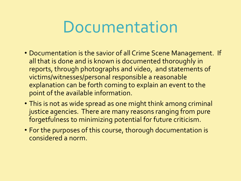# Documentation

- Documentation is the savior of all Crime Scene Management. If all that is done and is known is documented thoroughly in reports, through photographs and video, and statements of victims/witnesses/personal responsible a reasonable explanation can be forth coming to explain an event to the point of the available information.
- This is not as wide spread as one might think among criminal justice agencies. There are many reasons ranging from pure forgetfulness to minimizing potential for future criticism.
- For the purposes of this course, thorough documentation is considered a norm.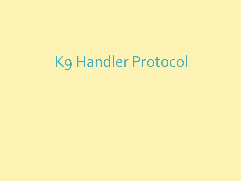# K9 Handler Protocol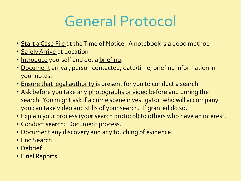# General Protocol

- Start a Case File at the Time of Notice. A notebook is a good method
- Safely Arrive at Location
- Introduce yourself and get a briefing.
- Document arrival, person contacted, date/time, briefing information in your notes.
- Ensure that legal authority is present for you to conduct a search.
- Ask before you take any photographs or video before and during the search. You might ask if a crime scene investigator who will accompany you can take video and stills of your search. If granted do so.
- Explain your process (your search protocol) to others who have an interest.
- Conduct search: Document process.
- Document any discovery and any touching of evidence.
- End Search
- Debrief.
- Final Reports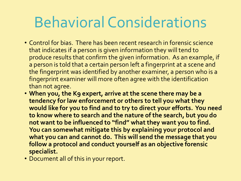# Behavioral Considerations

- Control for bias. There has been recent research in forensic science that indicates if a person is given information they will tend to produce results that confirm the given information. As an example, if a person is told that a certain person left a fingerprint at a scene and the fingerprint was identified by another examiner, a person who is a fingerprint examiner will more often agree with the identification than not agree.
- **When you, the K9 expert, arrive at the scene there may be a tendency for law enforcement or others to tell you what they would like for you to find and to try to direct your efforts. You need to know where to search and the nature of the search, but you do not want to be influenced to "find" what they want you to find. You can somewhat mitigate this by explaining your protocol and what you can and cannot do. This will send the message that you follow a protocol and conduct yourself as an objective forensic specialist.**
- Document all of this in your report.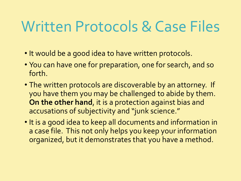# Written Protocols & Case Files

- It would be a good idea to have written protocols.
- You can have one for preparation, one for search, and so forth.
- The written protocols are discoverable by an attorney. If you have them you may be challenged to abide by them. **On the other hand**, it is a protection against bias and accusations of subjectivity and "junk science."
- It is a good idea to keep all documents and information in a case file. This not only helps you keep your information organized, but it demonstrates that you have a method.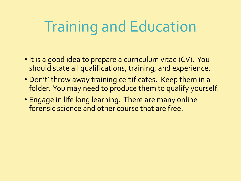# Training and Education

- It is a good idea to prepare a curriculum vitae (CV). You should state all qualifications, training, and experience.
- Don't' throw away training certificates. Keep them in a folder. You may need to produce them to qualify yourself.
- Engage in life long learning. There are many online forensic science and other course that are free.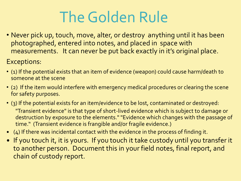# The Golden Rule

• Never pick up, touch, move, alter, or destroy anything until it has been photographed, entered into notes, and placed in space with measurements. It can never be put back exactly in it's original place.

Exceptions:

- (1) If the potential exists that an item of evidence (weapon) could cause harm/death to someone at the scene
- (2) If the item would interfere with emergency medical procedures or clearing the scene for safety purposes.
- (3) If the potential exists for an item/evidence to be lost, contaminated or destroyed: "Transient evidence" is that type of short-lived evidence which is subject to damage or destruction by exposure to the elements." "Evidence which changes with the passage of time." (Transient evidence is frangible and/or fragile evidence.)
- (4) If there was incidental contact with the evidence in the process of finding it.
- . If you touch it, it is yours. If you touch it take custody until you transfer it to another person. Document this in your field notes, final report, and chain of custody report.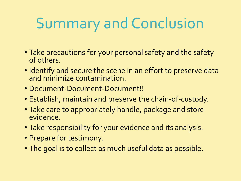# Summary and Conclusion

- Take precautions for your personal safety and the safety of others.
- Identify and secure the scene in an effort to preserve data and minimize contamination.
- Document-Document-Document!!
- Establish, maintain and preserve the chain-of-custody.
- Take care to appropriately handle, package and store evidence.
- Take responsibility for your evidence and its analysis.
- Prepare for testimony.
- The goal is to collect as much useful data as possible.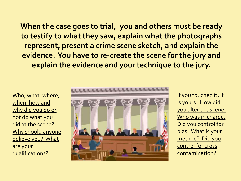**When the case goes to trial, you and others must be ready to testify to what they saw, explain what the photographs represent, present a crime scene sketch, and explain the evidence. You have to re-create the scene for the jury and explain the evidence and your technique to the jury.**

Who, what, where, when, how and why did you do or not do what you did at the scene? Why should anyone believe you? What are your qualifications?



If you touched it, it is yours. How did you alter the scene. Who was in charge. Did you control for bias. What is your method? Did you control for cross contamination?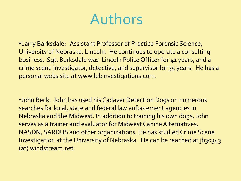## Authors

•Larry Barksdale: Assistant Professor of Practice Forensic Science, University of Nebraska, Lincoln. He continues to operate a consulting business. Sgt. Barksdale was Lincoln Police Officer for 41 years, and a crime scene investigator, detective, and supervisor for 35 years. He has a personal webs site at www.lebinvestigations.com.

•John Beck: John has used his Cadaver Detection Dogs on numerous searches for local, state and federal law enforcement agencies in Nebraska and the Midwest. In addition to training his own dogs, John serves as a trainer and evaluator for Midwest Canine Alternatives, NASDN, SARDUS and other organizations. He has studied Crime Scene Investigation at the University of Nebraska. He can be reached at jb30343 (at) windstream.net